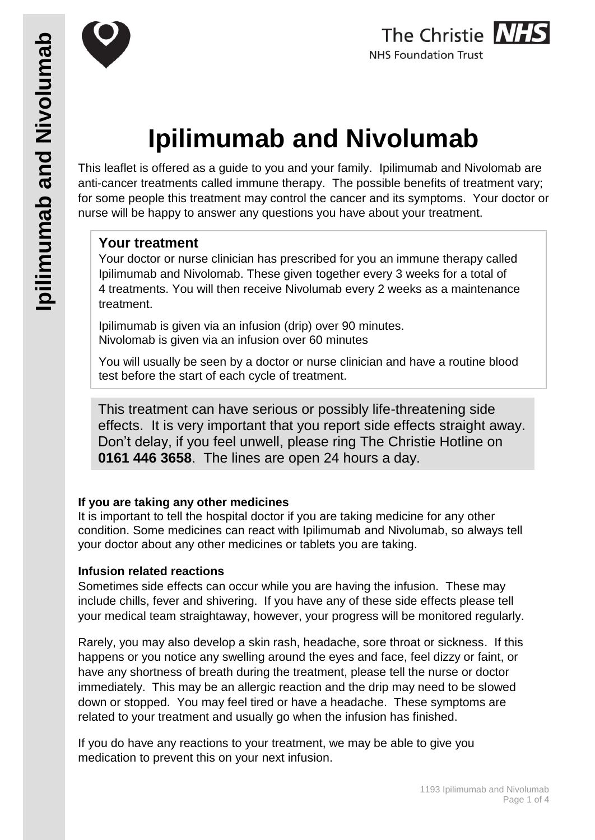



# **Ipilimumab and Nivolumab**

This leaflet is offered as a guide to you and your family. Ipilimumab and Nivolomab are anti-cancer treatments called immune therapy. The possible benefits of treatment vary; for some people this treatment may control the cancer and its symptoms. Your doctor or nurse will be happy to answer any questions you have about your treatment.

## **Your treatment**

Your doctor or nurse clinician has prescribed for you an immune therapy called Ipilimumab and Nivolomab. These given together every 3 weeks for a total of 4 treatments. You will then receive Nivolumab every 2 weeks as a maintenance treatment.

Ipilimumab is given via an infusion (drip) over 90 minutes. Nivolomab is given via an infusion over 60 minutes

You will usually be seen by a doctor or nurse clinician and have a routine blood test before the start of each cycle of treatment.

This treatment can have serious or possibly life-threatening side effects. It is very important that you report side effects straight away. Don't delay, if you feel unwell, please ring The Christie Hotline on **0161 446 3658**. The lines are open 24 hours a day.

## **If you are taking any other medicines**

It is important to tell the hospital doctor if you are taking medicine for any other condition. Some medicines can react with Ipilimumab and Nivolumab, so always tell your doctor about any other medicines or tablets you are taking.

#### **Infusion related reactions**

Sometimes side effects can occur while you are having the infusion. These may include chills, fever and shivering. If you have any of these side effects please tell your medical team straightaway, however, your progress will be monitored regularly.

Rarely, you may also develop a skin rash, headache, sore throat or sickness. If this happens or you notice any swelling around the eyes and face, feel dizzy or faint, or have any shortness of breath during the treatment, please tell the nurse or doctor immediately. This may be an allergic reaction and the drip may need to be slowed down or stopped. You may feel tired or have a headache. These symptoms are related to your treatment and usually go when the infusion has finished.

If you do have any reactions to your treatment, we may be able to give you medication to prevent this on your next infusion.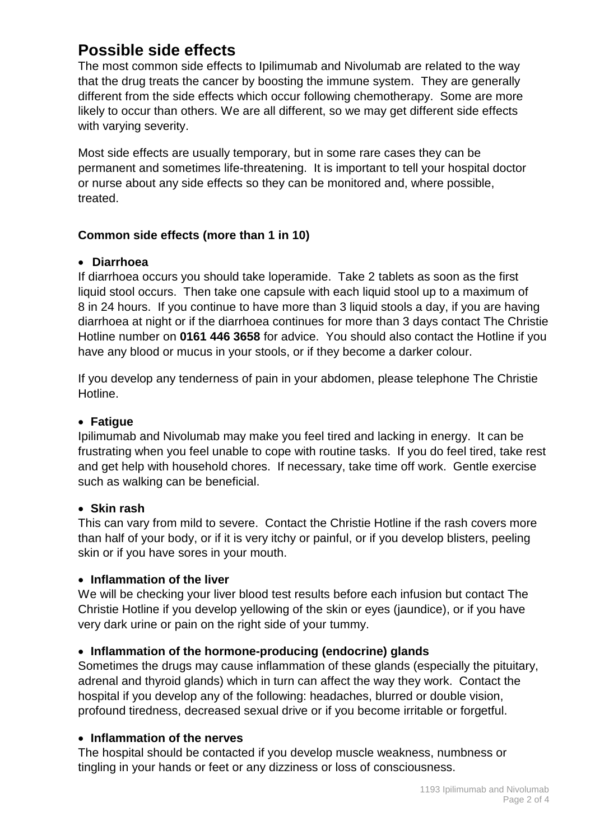# **Possible side effects**

The most common side effects to Ipilimumab and Nivolumab are related to the way that the drug treats the cancer by boosting the immune system. They are generally different from the side effects which occur following chemotherapy. Some are more likely to occur than others. We are all different, so we may get different side effects with varying severity.

Most side effects are usually temporary, but in some rare cases they can be permanent and sometimes life-threatening. It is important to tell your hospital doctor or nurse about any side effects so they can be monitored and, where possible, treated.

### **Common side effects (more than 1 in 10)**

#### **Diarrhoea**

If diarrhoea occurs you should take loperamide. Take 2 tablets as soon as the first liquid stool occurs. Then take one capsule with each liquid stool up to a maximum of 8 in 24 hours. If you continue to have more than 3 liquid stools a day, if you are having diarrhoea at night or if the diarrhoea continues for more than 3 days contact The Christie Hotline number on **0161 446 3658** for advice. You should also contact the Hotline if you have any blood or mucus in your stools, or if they become a darker colour.

If you develop any tenderness of pain in your abdomen, please telephone The Christie Hotline.

#### **Fatigue**

Ipilimumab and Nivolumab may make you feel tired and lacking in energy. It can be frustrating when you feel unable to cope with routine tasks. If you do feel tired, take rest and get help with household chores. If necessary, take time off work. Gentle exercise such as walking can be beneficial.

#### **Skin rash**

This can vary from mild to severe. Contact the Christie Hotline if the rash covers more than half of your body, or if it is very itchy or painful, or if you develop blisters, peeling skin or if you have sores in your mouth.

#### **Inflammation of the liver**

We will be checking your liver blood test results before each infusion but contact The Christie Hotline if you develop yellowing of the skin or eyes (jaundice), or if you have very dark urine or pain on the right side of your tummy.

#### **Inflammation of the hormone-producing (endocrine) glands**

Sometimes the drugs may cause inflammation of these glands (especially the pituitary, adrenal and thyroid glands) which in turn can affect the way they work. Contact the hospital if you develop any of the following: headaches, blurred or double vision, profound tiredness, decreased sexual drive or if you become irritable or forgetful.

#### **Inflammation of the nerves**

The hospital should be contacted if you develop muscle weakness, numbness or tingling in your hands or feet or any dizziness or loss of consciousness.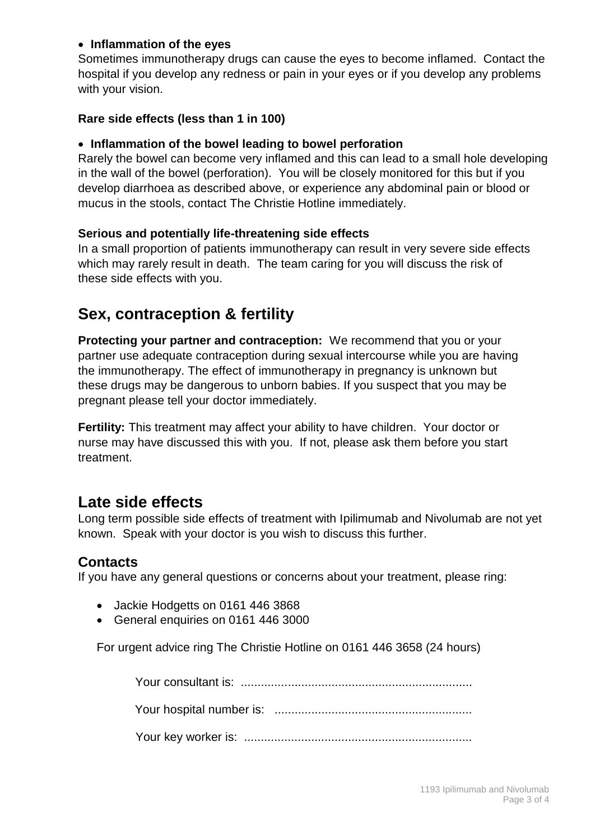#### **Inflammation of the eyes**

Sometimes immunotherapy drugs can cause the eyes to become inflamed. Contact the hospital if you develop any redness or pain in your eyes or if you develop any problems with your vision.

#### **Rare side effects (less than 1 in 100)**

#### **Inflammation of the bowel leading to bowel perforation**

Rarely the bowel can become very inflamed and this can lead to a small hole developing in the wall of the bowel (perforation). You will be closely monitored for this but if you develop diarrhoea as described above, or experience any abdominal pain or blood or mucus in the stools, contact The Christie Hotline immediately.

#### **Serious and potentially life-threatening side effects**

In a small proportion of patients immunotherapy can result in very severe side effects which may rarely result in death. The team caring for you will discuss the risk of these side effects with you.

# **Sex, contraception & fertility**

**Protecting your partner and contraception:** We recommend that you or your partner use adequate contraception during sexual intercourse while you are having the immunotherapy. The effect of immunotherapy in pregnancy is unknown but these drugs may be dangerous to unborn babies. If you suspect that you may be pregnant please tell your doctor immediately.

**Fertility:** This treatment may affect your ability to have children. Your doctor or nurse may have discussed this with you. If not, please ask them before you start treatment.

## **Late side effects**

Long term possible side effects of treatment with Ipilimumab and Nivolumab are not yet known. Speak with your doctor is you wish to discuss this further.

#### **Contacts**

If you have any general questions or concerns about your treatment, please ring:

- Jackie Hodgetts on 0161 446 3868
- General enquiries on 0161 446 3000

For urgent advice ring The Christie Hotline on 0161 446 3658 (24 hours)

Your consultant is: ..................................................................... Your hospital number is: ........................................................... Your key worker is: ....................................................................